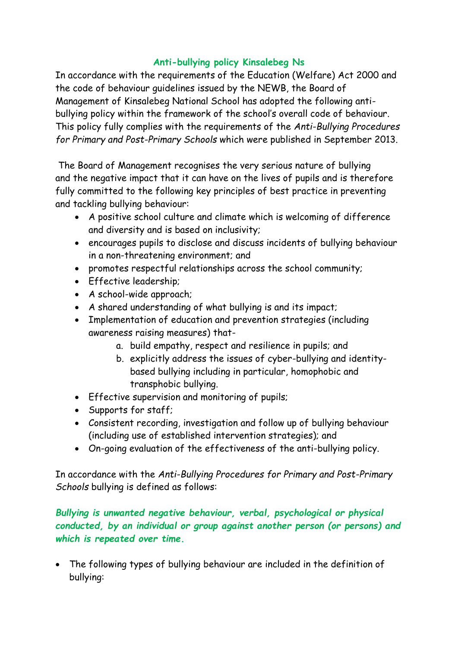## **Anti-bullying policy Kinsalebeg Ns**

In accordance with the requirements of the Education (Welfare) Act 2000 and the code of behaviour guidelines issued by the NEWB, the Board of Management of Kinsalebeg National School has adopted the following antibullying policy within the framework of the school's overall code of behaviour. This policy fully complies with the requirements of the *Anti-Bullying Procedures for Primary and Post-Primary Schools* which were published in September 2013.

The Board of Management recognises the very serious nature of bullying and the negative impact that it can have on the lives of pupils and is therefore fully committed to the following key principles of best practice in preventing and tackling bullying behaviour:

- A positive school culture and climate which is welcoming of difference and diversity and is based on inclusivity;
- encourages pupils to disclose and discuss incidents of bullying behaviour in a non-threatening environment; and
- promotes respectful relationships across the school community;
- Effective leadership;
- A school-wide approach;
- A shared understanding of what bullying is and its impact;
- Implementation of education and prevention strategies (including awareness raising measures) that
	- a. build empathy, respect and resilience in pupils; and
	- b. explicitly address the issues of cyber-bullying and identitybased bullying including in particular, homophobic and transphobic bullying.
- Effective supervision and monitoring of pupils;
- Supports for staff;
- Consistent recording, investigation and follow up of bullying behaviour (including use of established intervention strategies); and
- On-going evaluation of the effectiveness of the anti-bullying policy.

In accordance with the *Anti-Bullying Procedures for Primary and Post-Primary Schools* bullying is defined as follows:

*Bullying is unwanted negative behaviour, verbal, psychological or physical conducted, by an individual or group against another person (or persons) and which is repeated over time.* 

 The following types of bullying behaviour are included in the definition of bullying: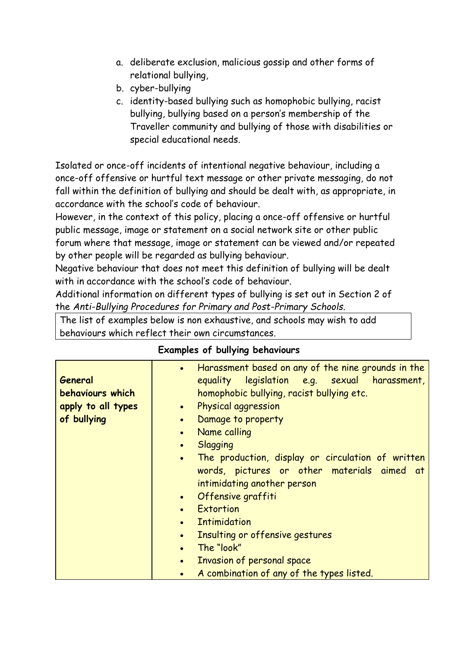- a. deliberate exclusion, malicious gossip and other forms of relational bullying,
- b. cyber-bullying
- c. identity-based bullying such as homophobic bullying, racist bullying, bullying based on a person's membership of the Traveller community and bullying of those with disabilities or special educational needs.

Isolated or once-off incidents of intentional negative behaviour, including a once-off offensive or hurtful text message or other private messaging, do not fall within the definition of bullying and should be dealt with, as appropriate, in accordance with the school's code of behaviour.

However, in the context of this policy, placing a once-off offensive or hurtful public message, image or statement on a social network site or other public forum where that message, image or statement can be viewed and/or repeated by other people will be regarded as bullying behaviour.

Negative behaviour that does not meet this definition of bullying will be dealt with in accordance with the school's code of behaviour.

Additional information on different types of bullying is set out in Section 2 of the *Anti-Bullying Procedures for Primary and Post-Primary Schools*.

The list of examples below is non exhaustive, and schools may wish to add behaviours which reflect their own circumstances.

| General<br>behaviours which<br>apply to all types<br>of bullying | Harassment based on any of the nine grounds in the<br>$\bullet$<br>equality legislation e.g. sexual harassment,<br>homophobic bullying, racist bullying etc.<br>Physical aggression<br>$\bullet$<br>Damage to property<br>$\bullet$<br>Name calling<br>$\bullet$<br><b>Slagging</b><br>$\bullet$<br>The production, display or circulation of written<br>$\bullet$<br>words, pictures or other materials aimed at<br>intimidating another person<br>Offensive graffiti<br>$\bullet$<br>Extortion<br>$\bullet$<br><b>Intimidation</b><br>$\bullet$<br>Insulting or offensive gestures<br>$\bullet$ |
|------------------------------------------------------------------|---------------------------------------------------------------------------------------------------------------------------------------------------------------------------------------------------------------------------------------------------------------------------------------------------------------------------------------------------------------------------------------------------------------------------------------------------------------------------------------------------------------------------------------------------------------------------------------------------|
|                                                                  | The "look"<br>$\bullet$<br>Invasion of personal space<br>$\bullet$                                                                                                                                                                                                                                                                                                                                                                                                                                                                                                                                |
|                                                                  | A combination of any of the types listed.                                                                                                                                                                                                                                                                                                                                                                                                                                                                                                                                                         |

### **Examples of bullying behaviours**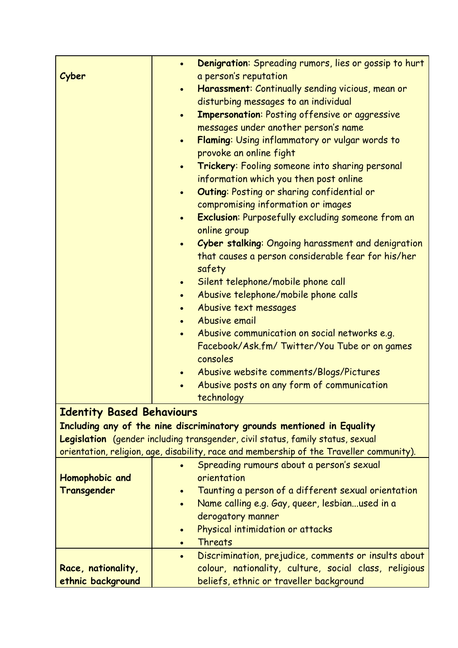|                                  | $\bullet$ | Denigration: Spreading rumors, lies or gossip to hurt                                    |
|----------------------------------|-----------|------------------------------------------------------------------------------------------|
| Cyber                            |           | a person's reputation                                                                    |
|                                  | $\bullet$ | Harassment: Continually sending vicious, mean or                                         |
|                                  |           | disturbing messages to an individual                                                     |
|                                  | $\bullet$ | <b>Impersonation: Posting offensive or aggressive</b>                                    |
|                                  |           | messages under another person's name                                                     |
|                                  | $\bullet$ | Flaming: Using inflammatory or vulgar words to                                           |
|                                  |           | provoke an online fight                                                                  |
|                                  | $\bullet$ | Trickery: Fooling someone into sharing personal                                          |
|                                  |           | information which you then post online                                                   |
|                                  | $\bullet$ | Outing: Posting or sharing confidential or                                               |
|                                  |           | compromising information or images                                                       |
|                                  | $\bullet$ | <b>Exclusion:</b> Purposefully excluding someone from an<br>online group                 |
|                                  | $\bullet$ | Cyber stalking: Ongoing harassment and denigration                                       |
|                                  |           | that causes a person considerable fear for his/her                                       |
|                                  |           | safety                                                                                   |
|                                  | $\bullet$ | Silent telephone/mobile phone call                                                       |
|                                  | $\bullet$ | Abusive telephone/mobile phone calls                                                     |
|                                  | $\bullet$ | Abusive text messages                                                                    |
|                                  | $\bullet$ | Abusive email                                                                            |
|                                  | $\bullet$ | Abusive communication on social networks e.g.                                            |
|                                  |           | Facebook/Ask.fm/Twitter/You Tube or on games                                             |
|                                  |           | consoles                                                                                 |
|                                  | $\bullet$ | Abusive website comments/Blogs/Pictures                                                  |
|                                  |           | Abusive posts on any form of communication                                               |
|                                  |           | technology                                                                               |
| <b>Identity Based Behaviours</b> |           |                                                                                          |
|                                  |           | Including any of the nine discriminatory grounds mentioned in Equality                   |
|                                  |           | Legislation (gender including transgender, civil status, family status, sexual           |
|                                  |           | orientation, religion, age, disability, race and membership of the Traveller community). |
|                                  |           | Spreading rumours about a person's sexual                                                |
| Homophobic and                   |           | orientation                                                                              |
| Transgender                      | $\bullet$ | Taunting a person of a different sexual orientation                                      |
|                                  | $\bullet$ | Name calling e.g. Gay, queer, lesbianused in a                                           |
|                                  |           | derogatory manner                                                                        |
|                                  | $\bullet$ | Physical intimidation or attacks                                                         |
|                                  | $\bullet$ | Threats                                                                                  |
|                                  | $\bullet$ | Discrimination, prejudice, comments or insults about                                     |
| Race, nationality,               |           | colour, nationality, culture, social class, religious                                    |
| ethnic background                |           | beliefs, ethnic or traveller background                                                  |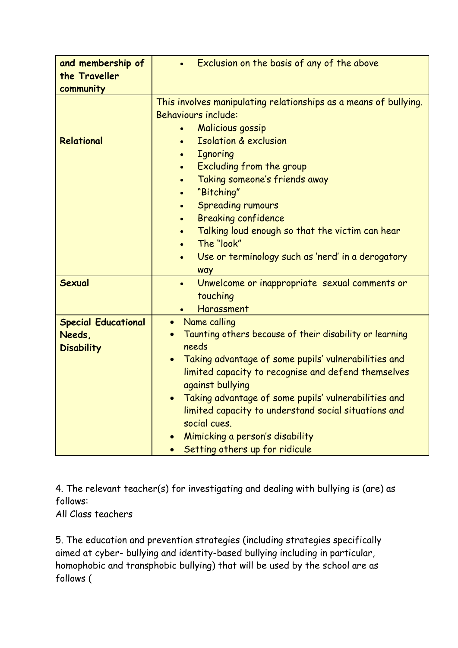| and membership of<br>the Traveller<br>community           | Exclusion on the basis of any of the above                                                                                                                                                                                                                                                                                                                                                                                                                                                                                                                                           |
|-----------------------------------------------------------|--------------------------------------------------------------------------------------------------------------------------------------------------------------------------------------------------------------------------------------------------------------------------------------------------------------------------------------------------------------------------------------------------------------------------------------------------------------------------------------------------------------------------------------------------------------------------------------|
| Relational                                                | This involves manipulating relationships as a means of bullying.<br><b>Behaviours include:</b><br><b>Malicious gossip</b><br>$\bullet$<br><b>Isolation &amp; exclusion</b><br><b>Ignoring</b><br>$\bullet$<br>Excluding from the group<br>$\bullet$<br>Taking someone's friends away<br>$\bullet$<br>"Bitching"<br>$\bullet$<br><b>Spreading rumours</b><br>$\bullet$<br><b>Breaking confidence</b><br>$\bullet$<br>Talking loud enough so that the victim can hear<br>$\bullet$<br>The "look"<br>$\bullet$<br>Use or terminology such as 'nerd' in a derogatory<br>$\bullet$<br>way |
| <b>Sexual</b>                                             | Unwelcome or inappropriate sexual comments or<br>$\bullet$<br>touching<br>Harassment<br>$\bullet$                                                                                                                                                                                                                                                                                                                                                                                                                                                                                    |
| <b>Special Educational</b><br>Needs,<br><b>Disability</b> | Name calling<br>$\bullet$<br>Taunting others because of their disability or learning<br>needs<br>Taking advantage of some pupils' vulnerabilities and<br>$\bullet$<br>limited capacity to recognise and defend themselves<br>against bullying<br>Taking advantage of some pupils' vulnerabilities and<br>limited capacity to understand social situations and<br>social cues.<br>Mimicking a person's disability<br>Setting others up for ridicule                                                                                                                                   |

4. The relevant teacher(s) for investigating and dealing with bullying is (are) as follows:

All Class teachers

5. The education and prevention strategies (including strategies specifically aimed at cyber- bullying and identity-based bullying including in particular, homophobic and transphobic bullying) that will be used by the school are as follows (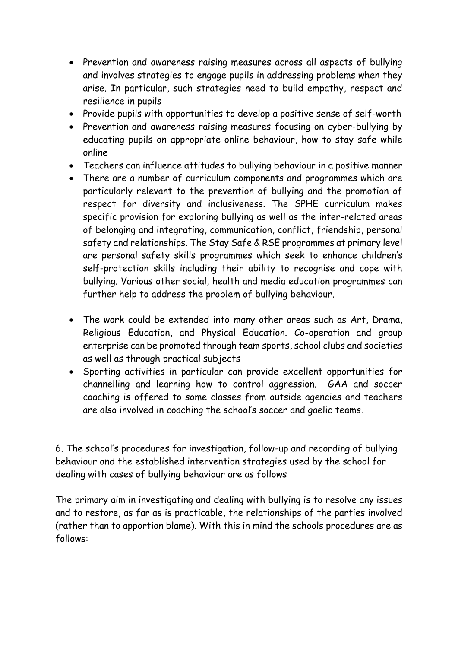- Prevention and awareness raising measures across all aspects of bullying and involves strategies to engage pupils in addressing problems when they arise. In particular, such strategies need to build empathy, respect and resilience in pupils
- Provide pupils with opportunities to develop a positive sense of self-worth
- Prevention and awareness raising measures focusing on cyber-bullying by educating pupils on appropriate online behaviour, how to stay safe while online
- Teachers can influence attitudes to bullying behaviour in a positive manner
- There are a number of curriculum components and programmes which are particularly relevant to the prevention of bullying and the promotion of respect for diversity and inclusiveness. The SPHE curriculum makes specific provision for exploring bullying as well as the inter-related areas of belonging and integrating, communication, conflict, friendship, personal safety and relationships. The Stay Safe & RSE programmes at primary level are personal safety skills programmes which seek to enhance children's self-protection skills including their ability to recognise and cope with bullying. Various other social, health and media education programmes can further help to address the problem of bullying behaviour.
- The work could be extended into many other areas such as Art, Drama, Religious Education, and Physical Education. Co-operation and group enterprise can be promoted through team sports, school clubs and societies as well as through practical subjects
- Sporting activities in particular can provide excellent opportunities for channelling and learning how to control aggression. GAA and soccer coaching is offered to some classes from outside agencies and teachers are also involved in coaching the school's soccer and gaelic teams.

6. The school's procedures for investigation, follow-up and recording of bullying behaviour and the established intervention strategies used by the school for dealing with cases of bullying behaviour are as follows

The primary aim in investigating and dealing with bullying is to resolve any issues and to restore, as far as is practicable, the relationships of the parties involved (rather than to apportion blame). With this in mind the schools procedures are as follows: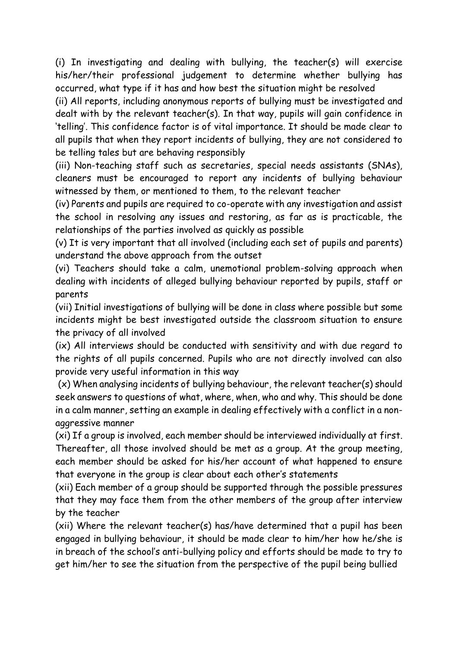(i) In investigating and dealing with bullying, the teacher(s) will exercise his/her/their professional judgement to determine whether bullying has occurred, what type if it has and how best the situation might be resolved

(ii) All reports, including anonymous reports of bullying must be investigated and dealt with by the relevant teacher(s). In that way, pupils will gain confidence in 'telling'. This confidence factor is of vital importance. It should be made clear to all pupils that when they report incidents of bullying, they are not considered to be telling tales but are behaving responsibly

(iii) Non-teaching staff such as secretaries, special needs assistants (SNAs), cleaners must be encouraged to report any incidents of bullying behaviour witnessed by them, or mentioned to them, to the relevant teacher

(iv) Parents and pupils are required to co-operate with any investigation and assist the school in resolving any issues and restoring, as far as is practicable, the relationships of the parties involved as quickly as possible

(v) It is very important that all involved (including each set of pupils and parents) understand the above approach from the outset

(vi) Teachers should take a calm, unemotional problem-solving approach when dealing with incidents of alleged bullying behaviour reported by pupils, staff or parents

(vii) Initial investigations of bullying will be done in class where possible but some incidents might be best investigated outside the classroom situation to ensure the privacy of all involved

(ix) All interviews should be conducted with sensitivity and with due regard to the rights of all pupils concerned. Pupils who are not directly involved can also provide very useful information in this way

(x) When analysing incidents of bullying behaviour, the relevant teacher(s) should seek answers to questions of what, where, when, who and why. This should be done in a calm manner, setting an example in dealing effectively with a conflict in a nonaggressive manner

(xi) If a group is involved, each member should be interviewed individually at first. Thereafter, all those involved should be met as a group. At the group meeting, each member should be asked for his/her account of what happened to ensure that everyone in the group is clear about each other's statements

(xii) Each member of a group should be supported through the possible pressures that they may face them from the other members of the group after interview by the teacher

(xii) Where the relevant teacher(s) has/have determined that a pupil has been engaged in bullying behaviour, it should be made clear to him/her how he/she is in breach of the school's anti-bullying policy and efforts should be made to try to get him/her to see the situation from the perspective of the pupil being bullied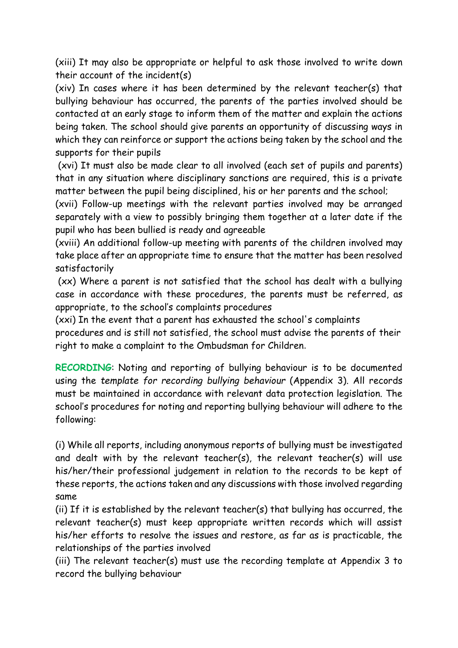(xiii) It may also be appropriate or helpful to ask those involved to write down their account of the incident(s)

(xiv) In cases where it has been determined by the relevant teacher(s) that bullying behaviour has occurred, the parents of the parties involved should be contacted at an early stage to inform them of the matter and explain the actions being taken. The school should give parents an opportunity of discussing ways in which they can reinforce or support the actions being taken by the school and the supports for their pupils

(xvi) It must also be made clear to all involved (each set of pupils and parents) that in any situation where disciplinary sanctions are required, this is a private matter between the pupil being disciplined, his or her parents and the school;

(xvii) Follow-up meetings with the relevant parties involved may be arranged separately with a view to possibly bringing them together at a later date if the pupil who has been bullied is ready and agreeable

(xviii) An additional follow-up meeting with parents of the children involved may take place after an appropriate time to ensure that the matter has been resolved satisfactorily

(xx) Where a parent is not satisfied that the school has dealt with a bullying case in accordance with these procedures, the parents must be referred, as appropriate, to the school's complaints procedures

(xxi) In the event that a parent has exhausted the school's complaints

procedures and is still not satisfied, the school must advise the parents of their right to make a complaint to the Ombudsman for Children.

**RECORDING**: Noting and reporting of bullying behaviour is to be documented using the *template for recording bullying behaviour* (Appendix 3). All records must be maintained in accordance with relevant data protection legislation. The school's procedures for noting and reporting bullying behaviour will adhere to the following:

(i) While all reports, including anonymous reports of bullying must be investigated and dealt with by the relevant teacher(s), the relevant teacher(s) will use his/her/their professional judgement in relation to the records to be kept of these reports, the actions taken and any discussions with those involved regarding same

(ii) If it is established by the relevant teacher(s) that bullying has occurred, the relevant teacher(s) must keep appropriate written records which will assist his/her efforts to resolve the issues and restore, as far as is practicable, the relationships of the parties involved

(iii) The relevant teacher(s) must use the recording template at Appendix 3 to record the bullying behaviour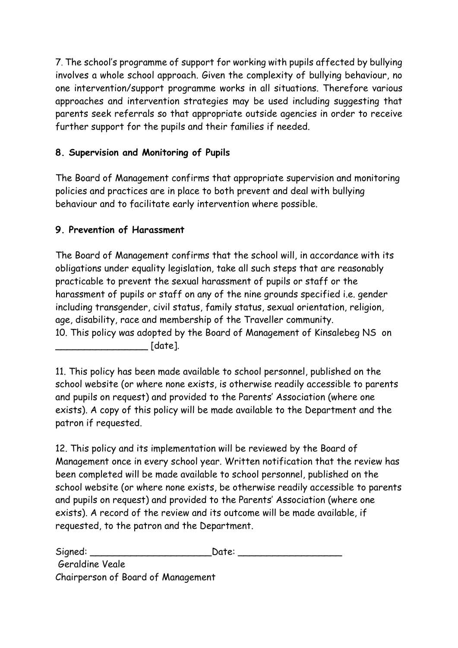7. The school's programme of support for working with pupils affected by bullying involves a whole school approach. Given the complexity of bullying behaviour, no one intervention/support programme works in all situations. Therefore various approaches and intervention strategies may be used including suggesting that parents seek referrals so that appropriate outside agencies in order to receive further support for the pupils and their families if needed.

# **8. Supervision and Monitoring of Pupils**

The Board of Management confirms that appropriate supervision and monitoring policies and practices are in place to both prevent and deal with bullying behaviour and to facilitate early intervention where possible.

## **9. Prevention of Harassment**

The Board of Management confirms that the school will, in accordance with its obligations under equality legislation, take all such steps that are reasonably practicable to prevent the sexual harassment of pupils or staff or the harassment of pupils or staff on any of the nine grounds specified i.e. gender including transgender, civil status, family status, sexual orientation, religion, age, disability, race and membership of the Traveller community. 10. This policy was adopted by the Board of Management of Kinsalebeg NS on \_\_\_\_\_\_\_\_\_\_\_\_\_\_\_\_ [date].

11. This policy has been made available to school personnel, published on the school website (or where none exists, is otherwise readily accessible to parents and pupils on request) and provided to the Parents' Association (where one exists). A copy of this policy will be made available to the Department and the patron if requested.

12. This policy and its implementation will be reviewed by the Board of Management once in every school year. Written notification that the review has been completed will be made available to school personnel, published on the school website (or where none exists, be otherwise readily accessible to parents and pupils on request) and provided to the Parents' Association (where one exists). A record of the review and its outcome will be made available, if requested, to the patron and the Department.

Signed: The Contract Signed:  $\Box$ Geraldine Veale Chairperson of Board of Management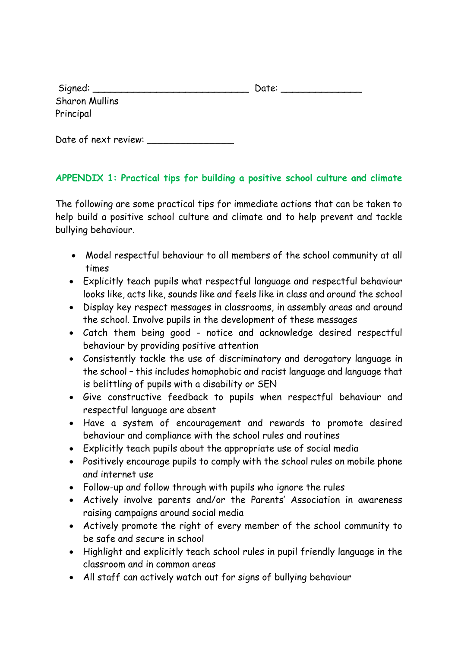| Signed:               | Date: |
|-----------------------|-------|
| <b>Sharon Mullins</b> |       |
| Principal             |       |

Date of next review:

## **APPENDIX 1: Practical tips for building a positive school culture and climate**

The following are some practical tips for immediate actions that can be taken to help build a positive school culture and climate and to help prevent and tackle bullying behaviour.

- Model respectful behaviour to all members of the school community at all times
- Explicitly teach pupils what respectful language and respectful behaviour looks like, acts like, sounds like and feels like in class and around the school
- Display key respect messages in classrooms, in assembly areas and around the school. Involve pupils in the development of these messages
- Catch them being good notice and acknowledge desired respectful behaviour by providing positive attention
- Consistently tackle the use of discriminatory and derogatory language in the school – this includes homophobic and racist language and language that is belittling of pupils with a disability or SEN
- Give constructive feedback to pupils when respectful behaviour and respectful language are absent
- Have a system of encouragement and rewards to promote desired behaviour and compliance with the school rules and routines
- Explicitly teach pupils about the appropriate use of social media
- Positively encourage pupils to comply with the school rules on mobile phone and internet use
- Follow-up and follow through with pupils who ignore the rules
- Actively involve parents and/or the Parents' Association in awareness raising campaigns around social media
- Actively promote the right of every member of the school community to be safe and secure in school
- Highlight and explicitly teach school rules in pupil friendly language in the classroom and in common areas
- All staff can actively watch out for signs of bullying behaviour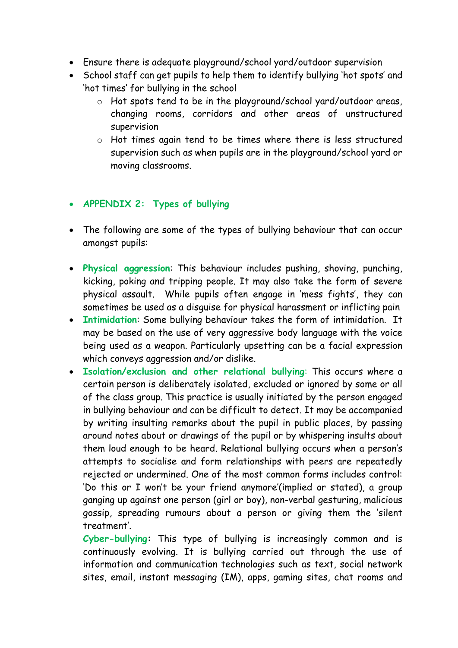- Ensure there is adequate playground/school yard/outdoor supervision
- School staff can get pupils to help them to identify bullying 'hot spots' and 'hot times' for bullying in the school
	- o Hot spots tend to be in the playground/school yard/outdoor areas, changing rooms, corridors and other areas of unstructured supervision
	- o Hot times again tend to be times where there is less structured supervision such as when pupils are in the playground/school yard or moving classrooms.

## **APPENDIX 2: Types of bullying**

- The following are some of the types of bullying behaviour that can occur amongst pupils:
- **Physical aggression**: This behaviour includes pushing, shoving, punching, kicking, poking and tripping people. It may also take the form of severe physical assault. While pupils often engage in 'mess fights', they can sometimes be used as a disguise for physical harassment or inflicting pain
- **Intimidation**: Some bullying behaviour takes the form of intimidation. It may be based on the use of very aggressive body language with the voice being used as a weapon. Particularly upsetting can be a facial expression which conveys aggression and/or dislike.
- **Isolation/exclusion and other relational bullying**: This occurs where a certain person is deliberately isolated, excluded or ignored by some or all of the class group. This practice is usually initiated by the person engaged in bullying behaviour and can be difficult to detect. It may be accompanied by writing insulting remarks about the pupil in public places, by passing around notes about or drawings of the pupil or by whispering insults about them loud enough to be heard. Relational bullying occurs when a person's attempts to socialise and form relationships with peers are repeatedly rejected or undermined. One of the most common forms includes control: 'Do this or I won't be your friend anymore'(implied or stated), a group ganging up against one person (girl or boy), non-verbal gesturing, malicious gossip, spreading rumours about a person or giving them the 'silent treatment'.

**Cyber-bullying:** This type of bullying is increasingly common and is continuously evolving. It is bullying carried out through the use of information and communication technologies such as text, social network sites, email, instant messaging (IM), apps, gaming sites, chat rooms and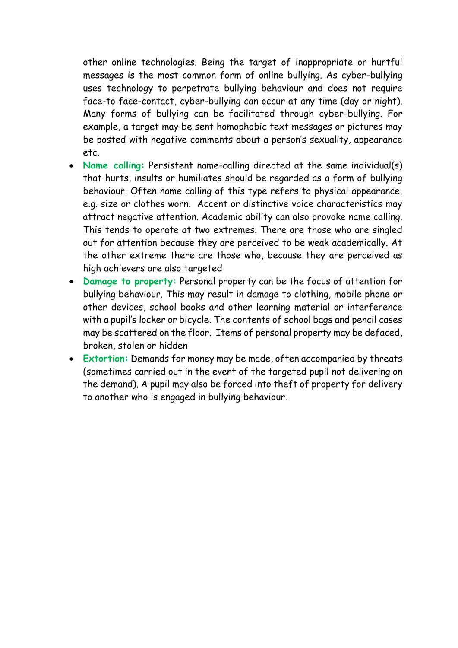other online technologies. Being the target of inappropriate or hurtful messages is the most common form of online bullying. As cyber-bullying uses technology to perpetrate bullying behaviour and does not require face-to face-contact, cyber-bullying can occur at any time (day or night). Many forms of bullying can be facilitated through cyber-bullying. For example, a target may be sent homophobic text messages or pictures may be posted with negative comments about a person's sexuality, appearance etc.

- **Name calling:** Persistent name-calling directed at the same individual(s) that hurts, insults or humiliates should be regarded as a form of bullying behaviour. Often name calling of this type refers to physical appearance, e.g. size or clothes worn. Accent or distinctive voice characteristics may attract negative attention. Academic ability can also provoke name calling. This tends to operate at two extremes. There are those who are singled out for attention because they are perceived to be weak academically. At the other extreme there are those who, because they are perceived as high achievers are also targeted
- **Damage to property:** Personal property can be the focus of attention for bullying behaviour. This may result in damage to clothing, mobile phone or other devices, school books and other learning material or interference with a pupil's locker or bicycle. The contents of school bags and pencil cases may be scattered on the floor. Items of personal property may be defaced, broken, stolen or hidden
- **Extortion:** Demands for money may be made, often accompanied by threats (sometimes carried out in the event of the targeted pupil not delivering on the demand). A pupil may also be forced into theft of property for delivery to another who is engaged in bullying behaviour.